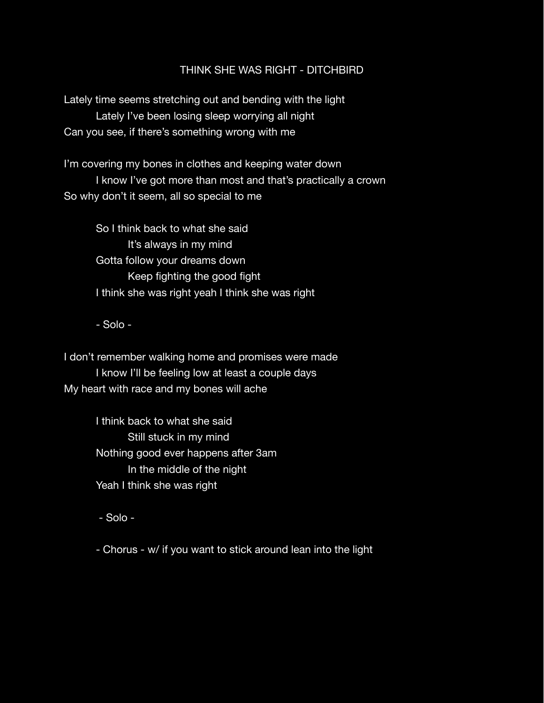### THINK SHE WAS RIGHT - DITCHBIRD

Lately time seems stretching out and bending with the light Lately I've been losing sleep worrying all night Can you see, if there's something wrong with me

I'm covering my bones in clothes and keeping water down I know I've got more than most and that's practically a crown So why don't it seem, all so special to me

So I think back to what she said It's always in my mind Gotta follow your dreams down Keep fighting the good fight I think she was right yeah I think she was right

- Solo -

I don't remember walking home and promises were made I know I'll be feeling low at least a couple days My heart with race and my bones will ache

> I think back to what she said Still stuck in my mind Nothing good ever happens after 3am In the middle of the night Yeah I think she was right

- Solo -

- Chorus - w/ if you want to stick around lean into the light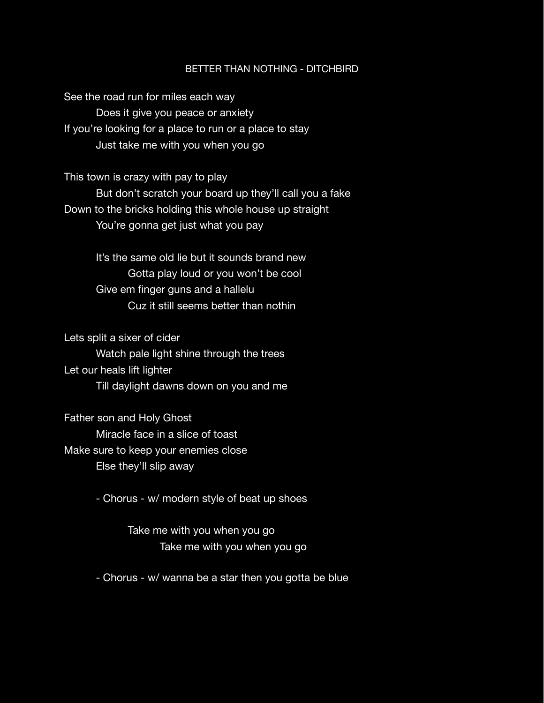#### BETTER THAN NOTHING - DITCHBIRD

See the road run for miles each way Does it give you peace or anxiety If you're looking for a place to run or a place to stay Just take me with you when you go

This town is crazy with pay to play But don't scratch your board up they'll call you a fake Down to the bricks holding this whole house up straight You're gonna get just what you pay

> It's the same old lie but it sounds brand new Gotta play loud or you won't be cool Give em finger guns and a hallelu Cuz it still seems better than nothin

Lets split a sixer of cider

Watch pale light shine through the trees Let our heals lift lighter Till daylight dawns down on you and me

Father son and Holy Ghost Miracle face in a slice of toast Make sure to keep your enemies close Else they'll slip away

- Chorus - w/ modern style of beat up shoes

 Take me with you when you go Take me with you when you go

- Chorus - w/ wanna be a star then you gotta be blue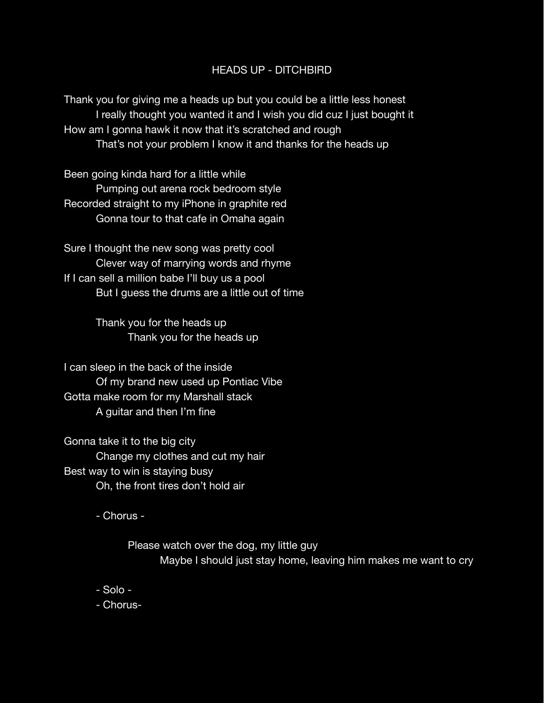# HEADS UP - DITCHBIRD

Thank you for giving me a heads up but you could be a little less honest I really thought you wanted it and I wish you did cuz I just bought it How am I gonna hawk it now that it's scratched and rough That's not your problem I know it and thanks for the heads up

Been going kinda hard for a little while Pumping out arena rock bedroom style Recorded straight to my iPhone in graphite red Gonna tour to that cafe in Omaha again

Sure I thought the new song was pretty cool Clever way of marrying words and rhyme If I can sell a million babe I'll buy us a pool But I guess the drums are a little out of time

> Thank you for the heads up Thank you for the heads up

I can sleep in the back of the inside Of my brand new used up Pontiac Vibe Gotta make room for my Marshall stack A guitar and then I'm fine

Gonna take it to the big city Change my clothes and cut my hair Best way to win is staying busy Oh, the front tires don't hold air

- Chorus -

 Please watch over the dog, my little guy Maybe I should just stay home, leaving him makes me want to cry

- Solo -
- Chorus-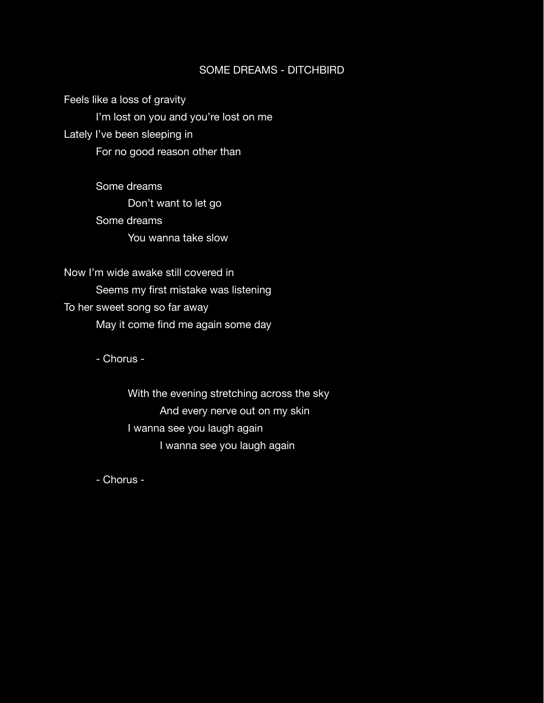# SOME DREAMS - DITCHBIRD

Feels like a loss of gravity I'm lost on you and you're lost on me Lately I've been sleeping in For no good reason other than

> Some dreams Don't want to let go Some dreams You wanna take slow

Now I'm wide awake still covered in Seems my first mistake was listening To her sweet song so far away May it come find me again some day

- Chorus -

 With the evening stretching across the sky And every nerve out on my skin I wanna see you laugh again I wanna see you laugh again

- Chorus -